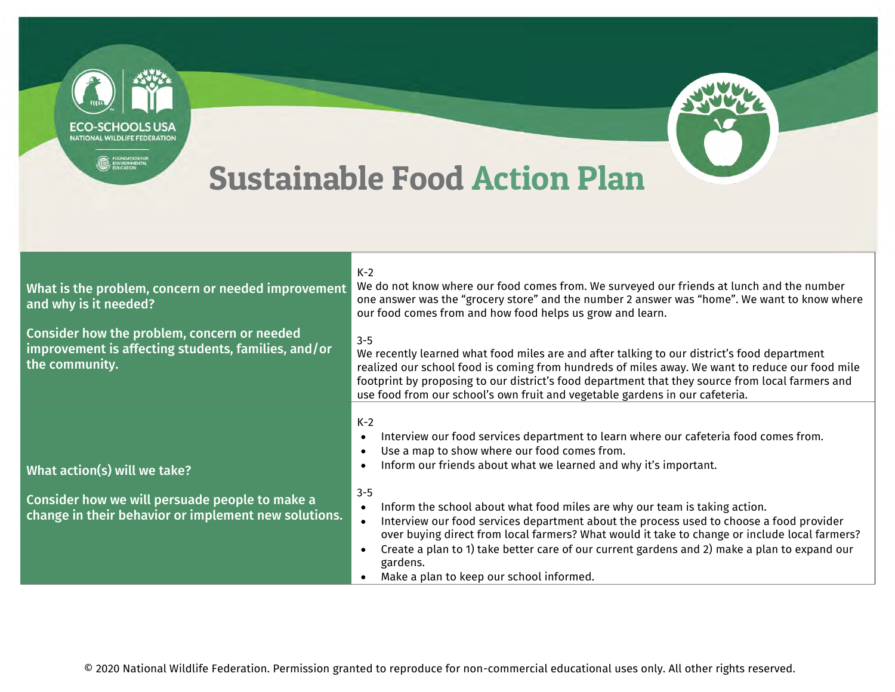